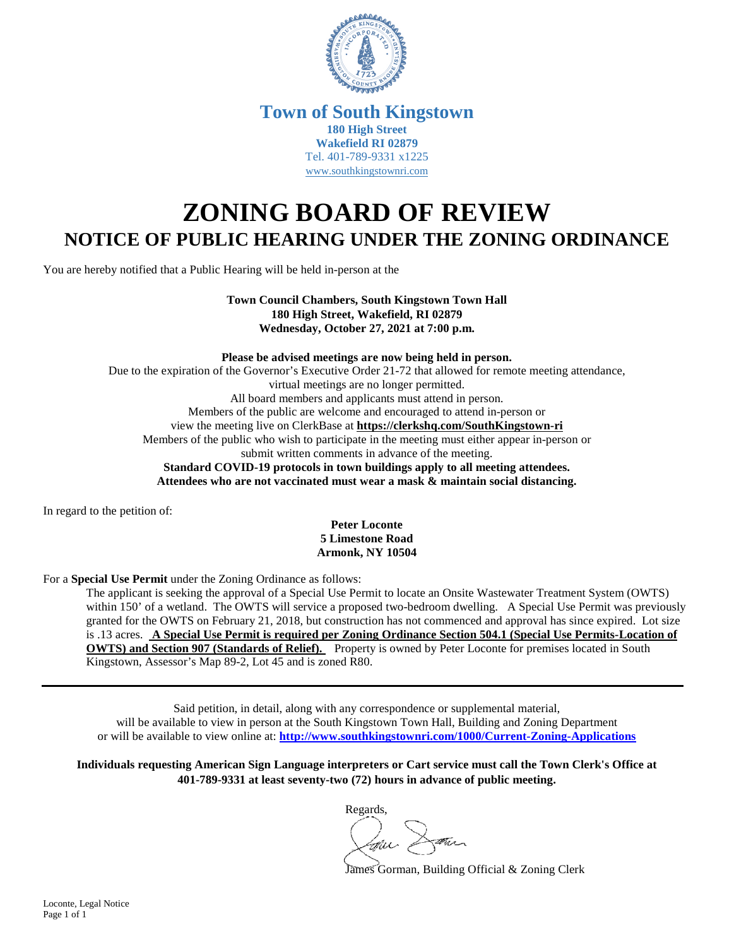

## **Town of South Kingstown 180 High Street Wakefield RI 02879** Tel. 401-789-9331 x1225 [www.southkingstownri.com](http://www.southkingstownri.com/)

## **ZONING BOARD OF REVIEW NOTICE OF PUBLIC HEARING UNDER THE ZONING ORDINANCE**

You are hereby notified that a Public Hearing will be held in-person at the

**Town Council Chambers, South Kingstown Town Hall 180 High Street, Wakefield, RI 02879 Wednesday, October 27, 2021 at 7:00 p.m.** 

**Please be advised meetings are now being held in person.** 

Due to the expiration of the Governor's Executive Order 21-72 that allowed for remote meeting attendance, virtual meetings are no longer permitted. All board members and applicants must attend in person. Members of the public are welcome and encouraged to attend in-person or view the meeting live on ClerkBase at **<https://clerkshq.com/SouthKingstown-ri>** Members of the public who wish to participate in the meeting must either appear in-person or submit written comments in advance of the meeting. **Standard COVID-19 protocols in town buildings apply to all meeting attendees. Attendees who are not vaccinated must wear a mask & maintain social distancing.** 

In regard to the petition of:

**Peter Loconte 5 Limestone Road Armonk, NY 10504** 

For a **Special Use Permit** under the Zoning Ordinance as follows:

The applicant is seeking the approval of a Special Use Permit to locate an Onsite Wastewater Treatment System (OWTS) within 150' of a wetland. The OWTS will service a proposed two-bedroom dwelling. A Special Use Permit was previously granted for the OWTS on February 21, 2018, but construction has not commenced and approval has since expired. Lot size is .13 acres. **A Special Use Permit is required per Zoning Ordinance Section 504.1 (Special Use Permits-Location of OWTS) and Section 907 (Standards of Relief).** Property is owned by Peter Loconte for premises located in South Kingstown, Assessor's Map 89-2, Lot 45 and is zoned R80.

Said petition, in detail, along with any correspondence or supplemental material, will be available to view in person at the South Kingstown Town Hall, Building and Zoning Department or will be available to view online at: **<http://www.southkingstownri.com/1000/Current-Zoning-Applications>**

**Individuals requesting American Sign Language interpreters or Cart service must call the Town Clerk's Office at 401-789-9331 at least seventy-two (72) hours in advance of public meeting.** 

Regards,

James Gorman, Building Official & Zoning Clerk